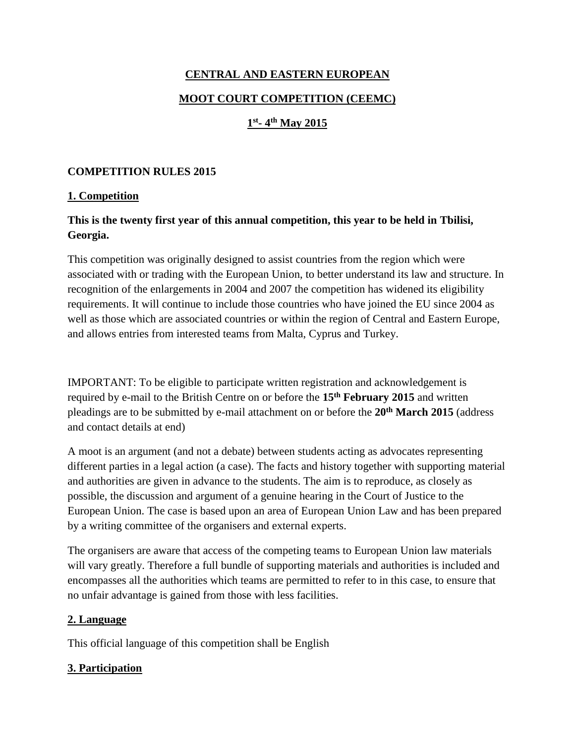# **CENTRAL AND EASTERN EUROPEAN MOOT COURT COMPETITION (CEEMC)**

## **1 st - 4 th May 2015**

### **COMPETITION RULES 2015**

## **1. Competition**

## **This is the twenty first year of this annual competition, this year to be held in Tbilisi, Georgia.**

This competition was originally designed to assist countries from the region which were associated with or trading with the European Union, to better understand its law and structure. In recognition of the enlargements in 2004 and 2007 the competition has widened its eligibility requirements. It will continue to include those countries who have joined the EU since 2004 as well as those which are associated countries or within the region of Central and Eastern Europe, and allows entries from interested teams from Malta, Cyprus and Turkey.

IMPORTANT: To be eligible to participate written registration and acknowledgement is required by e-mail to the British Centre on or before the **15th February 2015** and written pleadings are to be submitted by e-mail attachment on or before the **20 th March 2015** (address and contact details at end)

A moot is an argument (and not a debate) between students acting as advocates representing different parties in a legal action (a case). The facts and history together with supporting material and authorities are given in advance to the students. The aim is to reproduce, as closely as possible, the discussion and argument of a genuine hearing in the Court of Justice to the European Union. The case is based upon an area of European Union Law and has been prepared by a writing committee of the organisers and external experts.

The organisers are aware that access of the competing teams to European Union law materials will vary greatly. Therefore a full bundle of supporting materials and authorities is included and encompasses all the authorities which teams are permitted to refer to in this case, to ensure that no unfair advantage is gained from those with less facilities.

#### **2. Language**

This official language of this competition shall be English

## **3. Participation**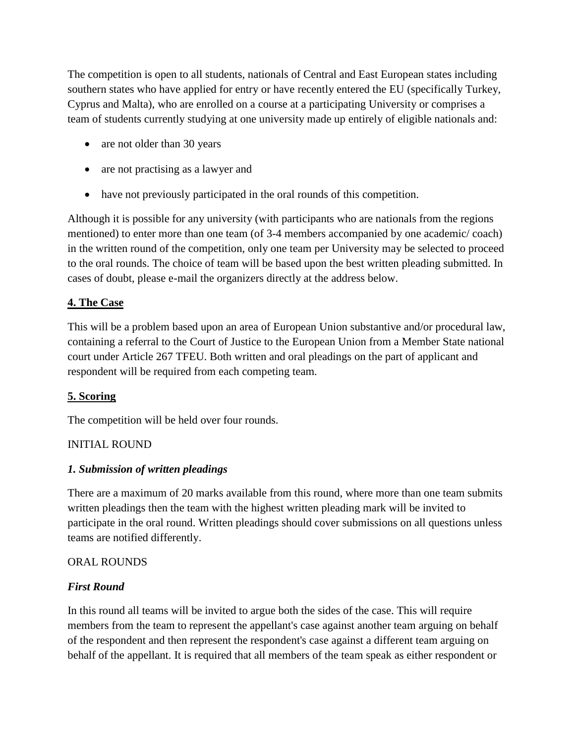The competition is open to all students, nationals of Central and East European states including southern states who have applied for entry or have recently entered the EU (specifically Turkey, Cyprus and Malta), who are enrolled on a course at a participating University or comprises a team of students currently studying at one university made up entirely of eligible nationals and:

- are not older than 30 years
- are not practising as a lawyer and
- have not previously participated in the oral rounds of this competition.

Although it is possible for any university (with participants who are nationals from the regions mentioned) to enter more than one team (of 3-4 members accompanied by one academic/ coach) in the written round of the competition, only one team per University may be selected to proceed to the oral rounds. The choice of team will be based upon the best written pleading submitted. In cases of doubt, please e-mail the organizers directly at the address below.

## **4. The Case**

This will be a problem based upon an area of European Union substantive and/or procedural law, containing a referral to the Court of Justice to the European Union from a Member State national court under Article 267 TFEU. Both written and oral pleadings on the part of applicant and respondent will be required from each competing team.

## **5. Scoring**

The competition will be held over four rounds.

## INITIAL ROUND

#### *1. Submission of written pleadings*

There are a maximum of 20 marks available from this round, where more than one team submits written pleadings then the team with the highest written pleading mark will be invited to participate in the oral round. Written pleadings should cover submissions on all questions unless teams are notified differently.

#### ORAL ROUNDS

#### *First Round*

In this round all teams will be invited to argue both the sides of the case. This will require members from the team to represent the appellant's case against another team arguing on behalf of the respondent and then represent the respondent's case against a different team arguing on behalf of the appellant. It is required that all members of the team speak as either respondent or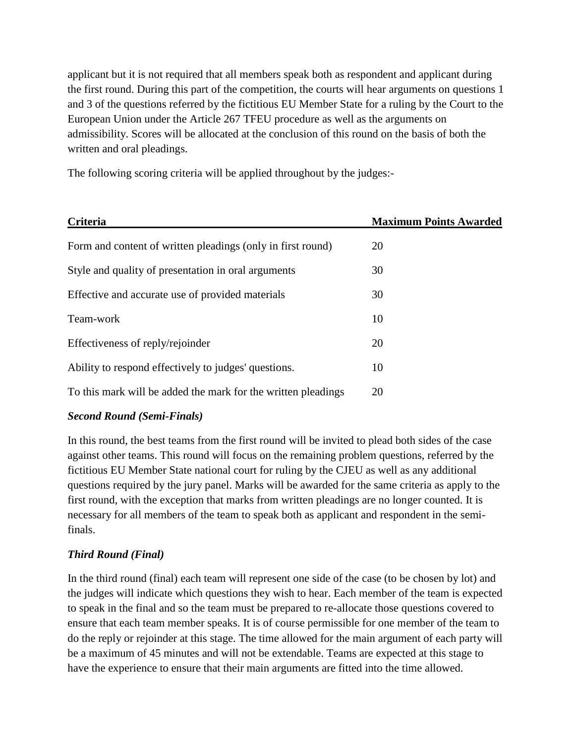applicant but it is not required that all members speak both as respondent and applicant during the first round. During this part of the competition, the courts will hear arguments on questions 1 and 3 of the questions referred by the fictitious EU Member State for a ruling by the Court to the European Union under the Article 267 TFEU procedure as well as the arguments on admissibility. Scores will be allocated at the conclusion of this round on the basis of both the written and oral pleadings.

The following scoring criteria will be applied throughout by the judges:-

| Criteria                                                      | <b>Maximum Points Awarded</b> |
|---------------------------------------------------------------|-------------------------------|
| Form and content of written pleadings (only in first round)   | 20                            |
| Style and quality of presentation in oral arguments           | 30                            |
| Effective and accurate use of provided materials              | 30                            |
| Team-work                                                     | 10                            |
| Effectiveness of reply/rejoinder                              | 20                            |
| Ability to respond effectively to judges' questions.          | 10                            |
| To this mark will be added the mark for the written pleadings | 20                            |

## *Second Round (Semi-Finals)*

In this round, the best teams from the first round will be invited to plead both sides of the case against other teams. This round will focus on the remaining problem questions, referred by the fictitious EU Member State national court for ruling by the CJEU as well as any additional questions required by the jury panel. Marks will be awarded for the same criteria as apply to the first round, with the exception that marks from written pleadings are no longer counted. It is necessary for all members of the team to speak both as applicant and respondent in the semifinals.

## *Third Round (Final)*

In the third round (final) each team will represent one side of the case (to be chosen by lot) and the judges will indicate which questions they wish to hear. Each member of the team is expected to speak in the final and so the team must be prepared to re-allocate those questions covered to ensure that each team member speaks. It is of course permissible for one member of the team to do the reply or rejoinder at this stage. The time allowed for the main argument of each party will be a maximum of 45 minutes and will not be extendable. Teams are expected at this stage to have the experience to ensure that their main arguments are fitted into the time allowed.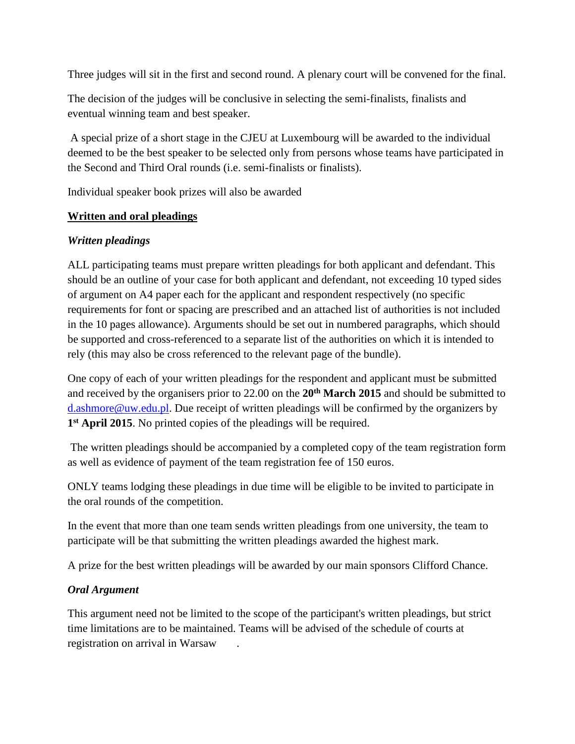Three judges will sit in the first and second round. A plenary court will be convened for the final.

The decision of the judges will be conclusive in selecting the semi-finalists, finalists and eventual winning team and best speaker.

A special prize of a short stage in the CJEU at Luxembourg will be awarded to the individual deemed to be the best speaker to be selected only from persons whose teams have participated in the Second and Third Oral rounds (i.e. semi-finalists or finalists).

Individual speaker book prizes will also be awarded

#### **Written and oral pleadings**

#### *Written pleadings*

ALL participating teams must prepare written pleadings for both applicant and defendant. This should be an outline of your case for both applicant and defendant, not exceeding 10 typed sides of argument on A4 paper each for the applicant and respondent respectively (no specific requirements for font or spacing are prescribed and an attached list of authorities is not included in the 10 pages allowance). Arguments should be set out in numbered paragraphs, which should be supported and cross-referenced to a separate list of the authorities on which it is intended to rely (this may also be cross referenced to the relevant page of the bundle).

One copy of each of your written pleadings for the respondent and applicant must be submitted and received by the organisers prior to 22.00 on the **20 th March 2015** and should be submitted to [d.ashmore@uw.edu.pl.](mailto:d.ashmore@uw.edu.pl) Due receipt of written pleadings will be confirmed by the organizers by **1 st April 2015**. No printed copies of the pleadings will be required.

The written pleadings should be accompanied by a completed copy of the team registration form as well as evidence of payment of the team registration fee of 150 euros.

ONLY teams lodging these pleadings in due time will be eligible to be invited to participate in the oral rounds of the competition.

In the event that more than one team sends written pleadings from one university, the team to participate will be that submitting the written pleadings awarded the highest mark.

A prize for the best written pleadings will be awarded by our main sponsors Clifford Chance.

#### *Oral Argument*

This argument need not be limited to the scope of the participant's written pleadings, but strict time limitations are to be maintained. Teams will be advised of the schedule of courts at registration on arrival in Warsaw .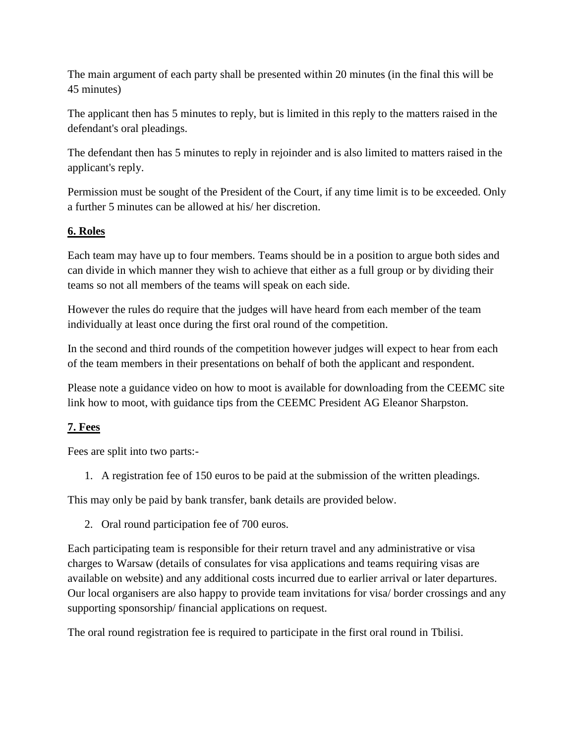The main argument of each party shall be presented within 20 minutes (in the final this will be 45 minutes)

The applicant then has 5 minutes to reply, but is limited in this reply to the matters raised in the defendant's oral pleadings.

The defendant then has 5 minutes to reply in rejoinder and is also limited to matters raised in the applicant's reply.

Permission must be sought of the President of the Court, if any time limit is to be exceeded. Only a further 5 minutes can be allowed at his/ her discretion.

## **6. Roles**

Each team may have up to four members. Teams should be in a position to argue both sides and can divide in which manner they wish to achieve that either as a full group or by dividing their teams so not all members of the teams will speak on each side.

However the rules do require that the judges will have heard from each member of the team individually at least once during the first oral round of the competition.

In the second and third rounds of the competition however judges will expect to hear from each of the team members in their presentations on behalf of both the applicant and respondent.

Please note a guidance video on how to moot is available for downloading from the CEEMC site link how to moot, with guidance tips from the CEEMC President AG Eleanor Sharpston.

## **7. Fees**

Fees are split into two parts:-

1. A registration fee of 150 euros to be paid at the submission of the written pleadings.

This may only be paid by bank transfer, bank details are provided below.

2. Oral round participation fee of 700 euros.

Each participating team is responsible for their return travel and any administrative or visa charges to Warsaw (details of consulates for visa applications and teams requiring visas are available on website) and any additional costs incurred due to earlier arrival or later departures. Our local organisers are also happy to provide team invitations for visa/ border crossings and any supporting sponsorship/ financial applications on request.

The oral round registration fee is required to participate in the first oral round in Tbilisi.